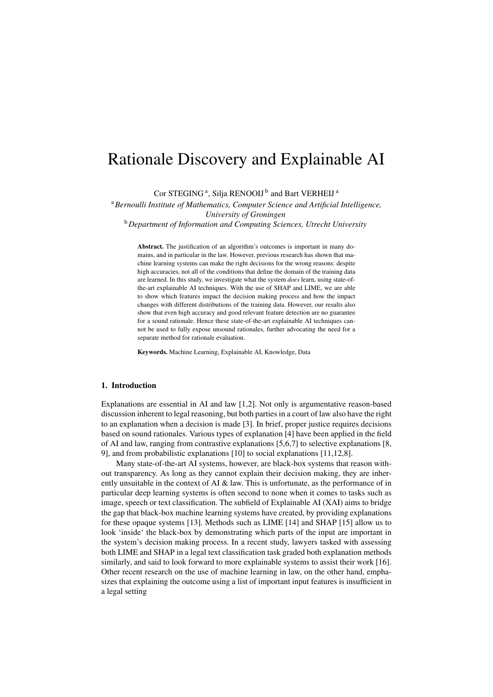# Rationale Discovery and Explainable AI

Cor STEGING<sup>[a](#page-0-0)</sup>, Silja RENOOIJ<sup>[b](#page-0-1)</sup> and Bart VERHEIJ<sup>a</sup>

<span id="page-0-1"></span><span id="page-0-0"></span><sup>a</sup>*Bernoulli Institute of Mathematics, Computer Science and Artificial Intelligence, University of Groningen*

<sup>b</sup>*Department of Information and Computing Sciences, Utrecht University*

Abstract. The justification of an algorithm's outcomes is important in many domains, and in particular in the law. However, previous research has shown that machine learning systems can make the right decisions for the wrong reasons: despite high accuracies, not all of the conditions that define the domain of the training data are learned. In this study, we investigate what the system *does* learn, using state-ofthe-art explainable AI techniques. With the use of SHAP and LIME, we are able to show which features impact the decision making process and how the impact changes with different distributions of the training data. However, our results also show that even high accuracy and good relevant feature detection are no guarantee for a sound rationale. Hence these state-of-the-art explainable AI techniques cannot be used to fully expose unsound rationales, further advocating the need for a separate method for rationale evaluation.

Keywords. Machine Learning, Explainable AI, Knowledge, Data

## 1. Introduction

Explanations are essential in AI and law [\[1,](#page-9-0)[2\]](#page-9-1). Not only is argumentative reason-based discussion inherent to legal reasoning, but both parties in a court of law also have the right to an explanation when a decision is made [\[3\]](#page-9-2). In brief, proper justice requires decisions based on sound rationales. Various types of explanation [\[4\]](#page-9-3) have been applied in the field of AI and law, ranging from contrastive explanations [\[5,](#page-9-4)[6,](#page-9-5)[7\]](#page-9-6) to selective explanations [\[8,](#page-9-7) [9\]](#page-9-8), and from probabilistic explanations [\[10\]](#page-9-9) to social explanations [\[11](#page-9-10)[,12,](#page-9-11)[8\]](#page-9-7).

Many state-of-the-art AI systems, however, are black-box systems that reason without transparency. As long as they cannot explain their decision making, they are inherently unsuitable in the context of AI & law. This is unfortunate, as the performance of in particular deep learning systems is often second to none when it comes to tasks such as image, speech or text classification. The subfield of Explainable AI (XAI) aims to bridge the gap that black-box machine learning systems have created, by providing explanations for these opaque systems [\[13\]](#page-9-12). Methods such as LIME [\[14\]](#page-9-13) and SHAP [\[15\]](#page-9-14) allow us to look 'inside' the black-box by demonstrating which parts of the input are important in the system's decision making process. In a recent study, lawyers tasked with assessing both LIME and SHAP in a legal text classification task graded both explanation methods similarly, and said to look forward to more explainable systems to assist their work [\[16\]](#page-9-15). Other recent research on the use of machine learning in law, on the other hand, emphasizes that explaining the outcome using a list of important input features is insufficient in a legal setting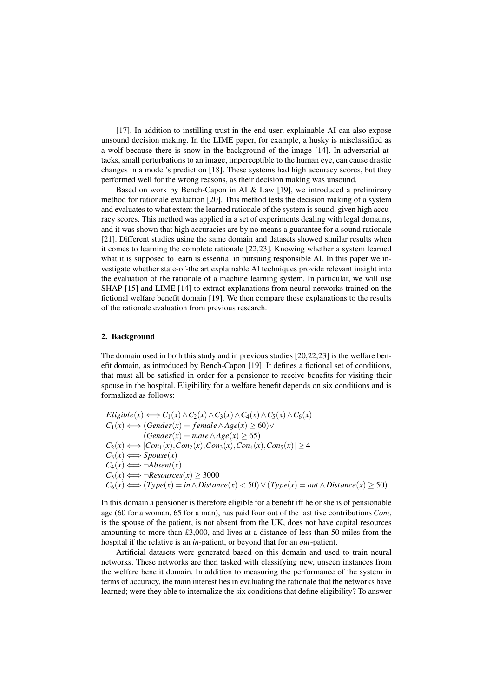[\[17\]](#page-9-16). In addition to instilling trust in the end user, explainable AI can also expose unsound decision making. In the LIME paper, for example, a husky is misclassified as a wolf because there is snow in the background of the image [\[14\]](#page-9-13). In adversarial attacks, small perturbations to an image, imperceptible to the human eye, can cause drastic changes in a model's prediction [\[18\]](#page-9-17). These systems had high accuracy scores, but they performed well for the wrong reasons, as their decision making was unsound.

Based on work by Bench-Capon in AI & Law [\[19\]](#page-9-18), we introduced a preliminary method for rationale evaluation [\[20\]](#page-9-19). This method tests the decision making of a system and evaluates to what extent the learned rationale of the system is sound, given high accuracy scores. This method was applied in a set of experiments dealing with legal domains, and it was shown that high accuracies are by no means a guarantee for a sound rationale [\[21\]](#page-9-20). Different studies using the same domain and datasets showed similar results when it comes to learning the complete rationale [\[22,](#page-9-21)[23\]](#page-9-22). Knowing whether a system learned what it is supposed to learn is essential in pursuing responsible AI. In this paper we investigate whether state-of-the art explainable AI techniques provide relevant insight into the evaluation of the rationale of a machine learning system. In particular, we will use SHAP [\[15\]](#page-9-14) and LIME [\[14\]](#page-9-13) to extract explanations from neural networks trained on the fictional welfare benefit domain [\[19\]](#page-9-18). We then compare these explanations to the results of the rationale evaluation from previous research.

### 2. Background

The domain used in both this study and in previous studies [\[20](#page-9-19)[,22](#page-9-21)[,23\]](#page-9-22) is the welfare benefit domain, as introduced by Bench-Capon [\[19\]](#page-9-18). It defines a fictional set of conditions, that must all be satisfied in order for a pensioner to receive benefits for visiting their spouse in the hospital. Eligibility for a welfare benefit depends on six conditions and is formalized as follows:

 $Eligible(x) \Longleftrightarrow C_1(x) \wedge C_2(x) \wedge C_3(x) \wedge C_4(x) \wedge C_5(x) \wedge C_6(x)$  $C_1(x) \Longleftrightarrow (Gender(x) = female \land Age(x) \ge 60) \lor$  $(Gender(x) = male \land Age(x) \ge 65)$  $C_2(x)$   $\Longleftrightarrow$   $|Con_1(x), Con_2(x), Con_3(x), Con_4(x), Con_5(x)| \geq 4$  $C_3(x) \Longleftrightarrow Spouse(x)$  $C_4(x) \Longleftrightarrow \neg Absent(x)$  $C_5(x) \Longleftrightarrow \neg Resources(x) \geq 3000$  $C_6(x) \Longleftrightarrow (Type(x) = in \land Distance(x) < 50) \lor (Type(x) = out \land Distance(x) \ge 50)$ 

In this domain a pensioner is therefore eligible for a benefit iff he or she is of pensionable age (60 for a woman, 65 for a man), has paid four out of the last five contributions *Con<sup>i</sup>* , is the spouse of the patient, is not absent from the UK, does not have capital resources amounting to more than £3,000, and lives at a distance of less than 50 miles from the hospital if the relative is an *in*-patient, or beyond that for an *out*-patient.

Artificial datasets were generated based on this domain and used to train neural networks. These networks are then tasked with classifying new, unseen instances from the welfare benefit domain. In addition to measuring the performance of the system in terms of accuracy, the main interest lies in evaluating the rationale that the networks have learned; were they able to internalize the six conditions that define eligibility? To answer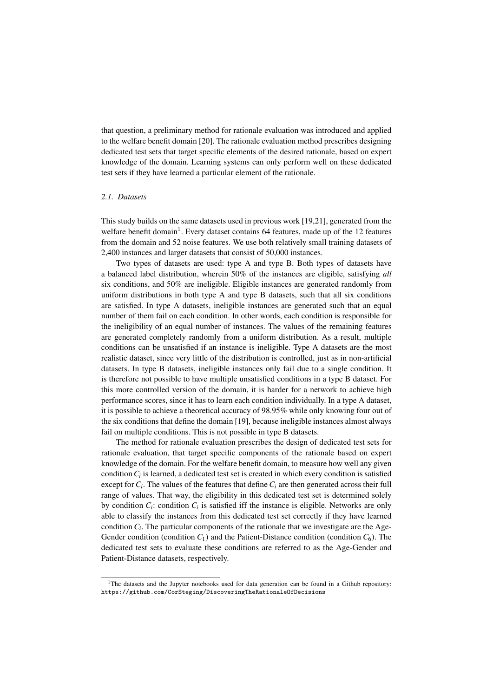that question, a preliminary method for rationale evaluation was introduced and applied to the welfare benefit domain [\[20\]](#page-9-19). The rationale evaluation method prescribes designing dedicated test sets that target specific elements of the desired rationale, based on expert knowledge of the domain. Learning systems can only perform well on these dedicated test sets if they have learned a particular element of the rationale.

# *2.1. Datasets*

This study builds on the same datasets used in previous work [\[19](#page-9-18)[,21\]](#page-9-20), generated from the welfare benefit domain<sup>[1](#page-2-0)</sup>. Every dataset contains 64 features, made up of the 12 features from the domain and 52 noise features. We use both relatively small training datasets of 2,400 instances and larger datasets that consist of 50,000 instances.

Two types of datasets are used: type A and type B. Both types of datasets have a balanced label distribution, wherein 50% of the instances are eligible, satisfying *all* six conditions, and 50% are ineligible. Eligible instances are generated randomly from uniform distributions in both type A and type B datasets, such that all six conditions are satisfied. In type A datasets, ineligible instances are generated such that an equal number of them fail on each condition. In other words, each condition is responsible for the ineligibility of an equal number of instances. The values of the remaining features are generated completely randomly from a uniform distribution. As a result, multiple conditions can be unsatisfied if an instance is ineligible. Type A datasets are the most realistic dataset, since very little of the distribution is controlled, just as in non-artificial datasets. In type B datasets, ineligible instances only fail due to a single condition. It is therefore not possible to have multiple unsatisfied conditions in a type B dataset. For this more controlled version of the domain, it is harder for a network to achieve high performance scores, since it has to learn each condition individually. In a type A dataset, it is possible to achieve a theoretical accuracy of 98.95% while only knowing four out of the six conditions that define the domain [\[19\]](#page-9-18), because ineligible instances almost always fail on multiple conditions. This is not possible in type B datasets.

The method for rationale evaluation prescribes the design of dedicated test sets for rationale evaluation, that target specific components of the rationale based on expert knowledge of the domain. For the welfare benefit domain, to measure how well any given condition  $C_i$  is learned, a dedicated test set is created in which every condition is satisfied except for  $C_i$ . The values of the features that define  $C_i$  are then generated across their full range of values. That way, the eligibility in this dedicated test set is determined solely by condition  $C_i$ : condition  $C_i$  is satisfied iff the instance is eligible. Networks are only able to classify the instances from this dedicated test set correctly if they have learned condition  $C_i$ . The particular components of the rationale that we investigate are the Age-Gender condition (condition  $C_1$ ) and the Patient-Distance condition (condition  $C_6$ ). The dedicated test sets to evaluate these conditions are referred to as the Age-Gender and Patient-Distance datasets, respectively.

<span id="page-2-0"></span><sup>&</sup>lt;sup>1</sup>The datasets and the Jupyter notebooks used for data generation can be found in a Github repository: <https://github.com/CorSteging/DiscoveringTheRationaleOfDecisions>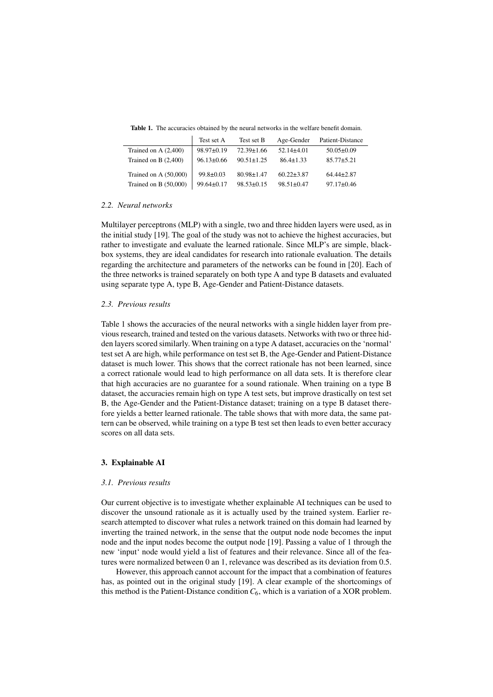Table 1. The accuracies obtained by the neural networks in the welfare benefit domain.

<span id="page-3-0"></span>

|                         | Test set A       | Test set B       | Age-Gender       | Patient-Distance |
|-------------------------|------------------|------------------|------------------|------------------|
| Trained on A $(2,400)$  | $98.97 \pm 0.19$ | $72.39 \pm 1.66$ | $52.14\pm4.01$   | $50.05 \pm 0.09$ |
| Trained on B $(2,400)$  | $96.13 \pm 0.66$ | $90.51 \pm 1.25$ | $86.4 \pm 1.33$  | $85.77 \pm 5.21$ |
| Trained on A $(50,000)$ | $99.8 \pm 0.03$  | $80.98 \pm 1.47$ | $60.22 \pm 3.87$ | $64.44 \pm 2.87$ |
| Trained on B (50,000)   | $99.64 \pm 0.17$ | $98.53 \pm 0.15$ | $98.51 \pm 0.47$ | $97.17 \pm 0.46$ |

# *2.2. Neural networks*

Multilayer perceptrons (MLP) with a single, two and three hidden layers were used, as in the initial study [\[19\]](#page-9-18). The goal of the study was not to achieve the highest accuracies, but rather to investigate and evaluate the learned rationale. Since MLP's are simple, blackbox systems, they are ideal candidates for research into rationale evaluation. The details regarding the architecture and parameters of the networks can be found in [\[20\]](#page-9-19). Each of the three networks is trained separately on both type A and type B datasets and evaluated using separate type A, type B, Age-Gender and Patient-Distance datasets.

#### <span id="page-3-1"></span>*2.3. Previous results*

Table [1](#page-3-0) shows the accuracies of the neural networks with a single hidden layer from previous research, trained and tested on the various datasets. Networks with two or three hidden layers scored similarly. When training on a type A dataset, accuracies on the 'normal' test set A are high, while performance on test set B, the Age-Gender and Patient-Distance dataset is much lower. This shows that the correct rationale has not been learned, since a correct rationale would lead to high performance on all data sets. It is therefore clear that high accuracies are no guarantee for a sound rationale. When training on a type B dataset, the accuracies remain high on type A test sets, but improve drastically on test set B, the Age-Gender and the Patient-Distance dataset; training on a type B dataset therefore yields a better learned rationale. The table shows that with more data, the same pattern can be observed, while training on a type B test set then leads to even better accuracy scores on all data sets.

## 3. Explainable AI

#### *3.1. Previous results*

Our current objective is to investigate whether explainable AI techniques can be used to discover the unsound rationale as it is actually used by the trained system. Earlier research attempted to discover what rules a network trained on this domain had learned by inverting the trained network, in the sense that the output node node becomes the input node and the input nodes become the output node [\[19\]](#page-9-18). Passing a value of 1 through the new 'input' node would yield a list of features and their relevance. Since all of the features were normalized between 0 an 1, relevance was described as its deviation from 0.5.

However, this approach cannot account for the impact that a combination of features has, as pointed out in the original study [\[19\]](#page-9-18). A clear example of the shortcomings of this method is the Patient-Distance condition  $C_6$ , which is a variation of a XOR problem.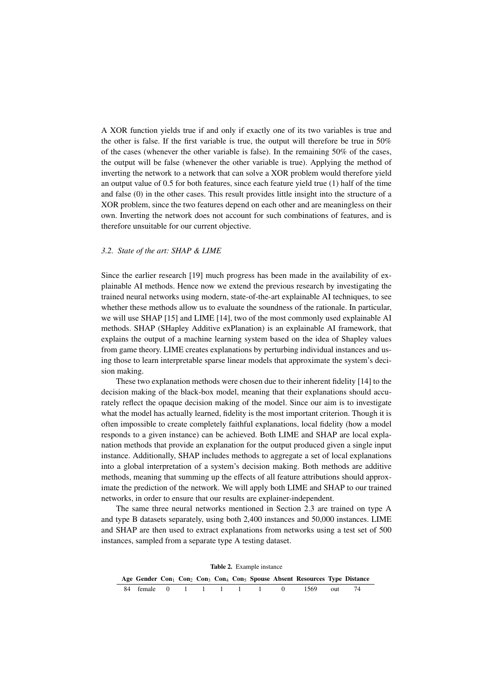A XOR function yields true if and only if exactly one of its two variables is true and the other is false. If the first variable is true, the output will therefore be true in 50% of the cases (whenever the other variable is false). In the remaining 50% of the cases, the output will be false (whenever the other variable is true). Applying the method of inverting the network to a network that can solve a XOR problem would therefore yield an output value of 0.5 for both features, since each feature yield true (1) half of the time and false (0) in the other cases. This result provides little insight into the structure of a XOR problem, since the two features depend on each other and are meaningless on their own. Inverting the network does not account for such combinations of features, and is therefore unsuitable for our current objective.

## *3.2. State of the art: SHAP & LIME*

Since the earlier research [\[19\]](#page-9-18) much progress has been made in the availability of explainable AI methods. Hence now we extend the previous research by investigating the trained neural networks using modern, state-of-the-art explainable AI techniques, to see whether these methods allow us to evaluate the soundness of the rationale. In particular, we will use SHAP [\[15\]](#page-9-14) and LIME [\[14\]](#page-9-13), two of the most commonly used explainable AI methods. SHAP (SHapley Additive exPlanation) is an explainable AI framework, that explains the output of a machine learning system based on the idea of Shapley values from game theory. LIME creates explanations by perturbing individual instances and using those to learn interpretable sparse linear models that approximate the system's decision making.

These two explanation methods were chosen due to their inherent fidelity [\[14\]](#page-9-13) to the decision making of the black-box model, meaning that their explanations should accurately reflect the opaque decision making of the model. Since our aim is to investigate what the model has actually learned, fidelity is the most important criterion. Though it is often impossible to create completely faithful explanations, local fidelity (how a model responds to a given instance) can be achieved. Both LIME and SHAP are local explanation methods that provide an explanation for the output produced given a single input instance. Additionally, SHAP includes methods to aggregate a set of local explanations into a global interpretation of a system's decision making. Both methods are additive methods, meaning that summing up the effects of all feature attributions should approximate the prediction of the network. We will apply both LIME and SHAP to our trained networks, in order to ensure that our results are explainer-independent.

The same three neural networks mentioned in Section [2.3](#page-3-1) are trained on type A and type B datasets separately, using both 2,400 instances and 50,000 instances. LIME and SHAP are then used to extract explanations from networks using a test set of 500 instances, sampled from a separate type A testing dataset.

<span id="page-4-0"></span>

| <b>Table 2.</b> Example instance |  |  |  |  |  |  |  |  |                                                                                                                                       |  |      |  |
|----------------------------------|--|--|--|--|--|--|--|--|---------------------------------------------------------------------------------------------------------------------------------------|--|------|--|
|                                  |  |  |  |  |  |  |  |  | Age Gender Con <sub>1</sub> Con <sub>2</sub> Con <sub>3</sub> Con <sub>4</sub> Con <sub>5</sub> Spouse Absent Resources Type Distance |  |      |  |
|                                  |  |  |  |  |  |  |  |  | 84 female 0 1 1 1 1 1 0 1569 out                                                                                                      |  | - 74 |  |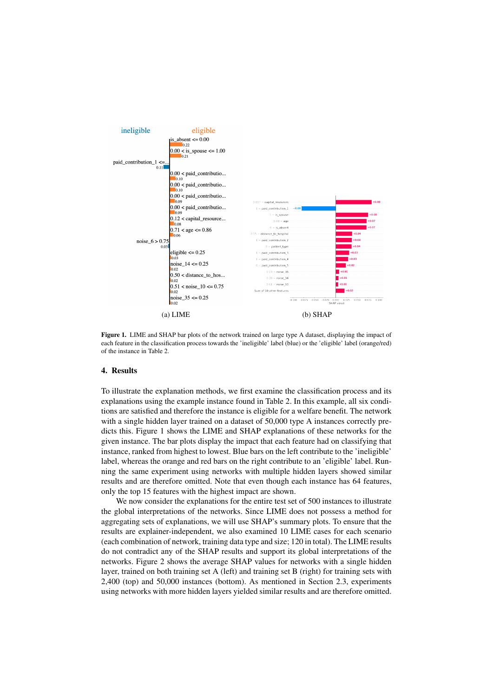<span id="page-5-0"></span>

Figure 1. LIME and SHAP bar plots of the network trained on large type A dataset, displaying the impact of each feature in the classification process towards the 'ineligible' label (blue) or the 'eligible' label (orange/red) of the instance in Table [2.](#page-4-0)

#### 4. Results

To illustrate the explanation methods, we first examine the classification process and its explanations using the example instance found in Table [2.](#page-4-0) In this example, all six conditions are satisfied and therefore the instance is eligible for a welfare benefit. The network with a single hidden layer trained on a dataset of 50,000 type A instances correctly predicts this. Figure [1](#page-5-0) shows the LIME and SHAP explanations of these networks for the given instance. The bar plots display the impact that each feature had on classifying that instance, ranked from highest to lowest. Blue bars on the left contribute to the 'ineligible' label, whereas the orange and red bars on the right contribute to an 'eligible' label. Running the same experiment using networks with multiple hidden layers showed similar results and are therefore omitted. Note that even though each instance has 64 features, only the top 15 features with the highest impact are shown.

We now consider the explanations for the entire test set of 500 instances to illustrate the global interpretations of the networks. Since LIME does not possess a method for aggregating sets of explanations, we will use SHAP's summary plots. To ensure that the results are explainer-independent, we also examined 10 LIME cases for each scenario (each combination of network, training data type and size; 120 in total). The LIME results do not contradict any of the SHAP results and support its global interpretations of the networks. Figure [2](#page-6-0) shows the average SHAP values for networks with a single hidden layer, trained on both training set A (left) and training set B (right) for training sets with 2,400 (top) and 50,000 instances (bottom). As mentioned in Section [2.3,](#page-3-1) experiments using networks with more hidden layers yielded similar results and are therefore omitted.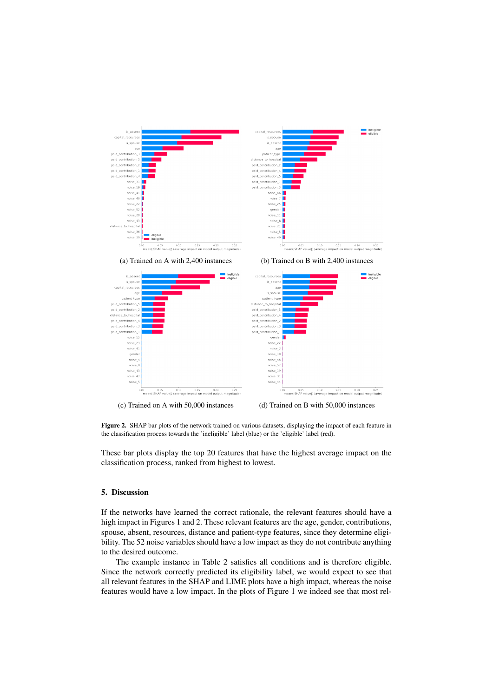<span id="page-6-0"></span>

Figure 2. SHAP bar plots of the network trained on various datasets, displaying the impact of each feature in the classification process towards the 'ineligible' label (blue) or the 'eligible' label (red).

These bar plots display the top 20 features that have the highest average impact on the classification process, ranked from highest to lowest.

# 5. Discussion

If the networks have learned the correct rationale, the relevant features should have a high impact in Figures [1](#page-5-0) and [2.](#page-6-0) These relevant features are the age, gender, contributions, spouse, absent, resources, distance and patient-type features, since they determine eligibility. The 52 noise variables should have a low impact as they do not contribute anything to the desired outcome.

The example instance in Table [2](#page-4-0) satisfies all conditions and is therefore eligible. Since the network correctly predicted its eligibility label, we would expect to see that all relevant features in the SHAP and LIME plots have a high impact, whereas the noise features would have a low impact. In the plots of Figure [1](#page-5-0) we indeed see that most rel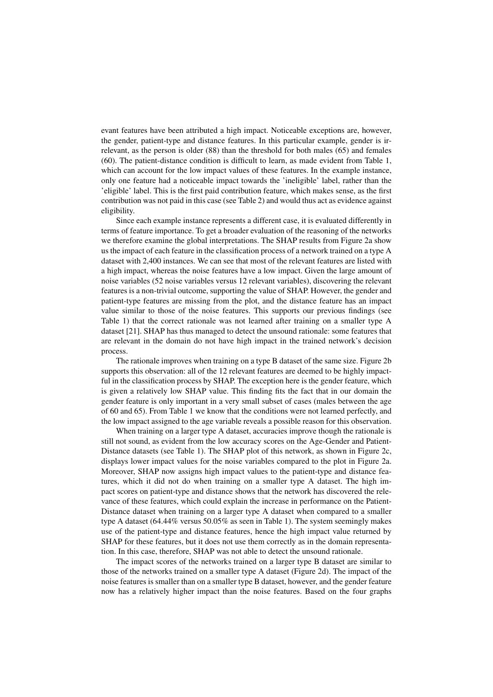evant features have been attributed a high impact. Noticeable exceptions are, however, the gender, patient-type and distance features. In this particular example, gender is irrelevant, as the person is older (88) than the threshold for both males (65) and females (60). The patient-distance condition is difficult to learn, as made evident from Table [1,](#page-3-0) which can account for the low impact values of these features. In the example instance, only one feature had a noticeable impact towards the 'ineligible' label, rather than the 'eligible' label. This is the first paid contribution feature, which makes sense, as the first contribution was not paid in this case (see Table [2\)](#page-4-0) and would thus act as evidence against eligibility.

Since each example instance represents a different case, it is evaluated differently in terms of feature importance. To get a broader evaluation of the reasoning of the networks we therefore examine the global interpretations. The SHAP results from Figure [2a](#page-6-0) show us the impact of each feature in the classification process of a network trained on a type A dataset with 2,400 instances. We can see that most of the relevant features are listed with a high impact, whereas the noise features have a low impact. Given the large amount of noise variables (52 noise variables versus 12 relevant variables), discovering the relevant features is a non-trivial outcome, supporting the value of SHAP. However, the gender and patient-type features are missing from the plot, and the distance feature has an impact value similar to those of the noise features. This supports our previous findings (see Table [1\)](#page-3-0) that the correct rationale was not learned after training on a smaller type A dataset [\[21\]](#page-9-20). SHAP has thus managed to detect the unsound rationale: some features that are relevant in the domain do not have high impact in the trained network's decision process.

The rationale improves when training on a type B dataset of the same size. Figure [2b](#page-6-0) supports this observation: all of the 12 relevant features are deemed to be highly impactful in the classification process by SHAP. The exception here is the gender feature, which is given a relatively low SHAP value. This finding fits the fact that in our domain the gender feature is only important in a very small subset of cases (males between the age of 60 and 65). From Table [1](#page-3-0) we know that the conditions were not learned perfectly, and the low impact assigned to the age variable reveals a possible reason for this observation.

When training on a larger type A dataset, accuracies improve though the rationale is still not sound, as evident from the low accuracy scores on the Age-Gender and Patient-Distance datasets (see Table [1\)](#page-3-0). The SHAP plot of this network, as shown in Figure [2c,](#page-6-0) displays lower impact values for the noise variables compared to the plot in Figure [2a.](#page-6-0) Moreover, SHAP now assigns high impact values to the patient-type and distance features, which it did not do when training on a smaller type A dataset. The high impact scores on patient-type and distance shows that the network has discovered the relevance of these features, which could explain the increase in performance on the Patient-Distance dataset when training on a larger type A dataset when compared to a smaller type A dataset (64.44% versus 50.05% as seen in Table [1\)](#page-3-0). The system seemingly makes use of the patient-type and distance features, hence the high impact value returned by SHAP for these features, but it does not use them correctly as in the domain representation. In this case, therefore, SHAP was not able to detect the unsound rationale.

The impact scores of the networks trained on a larger type B dataset are similar to those of the networks trained on a smaller type A dataset (Figure [2d\)](#page-6-0). The impact of the noise features is smaller than on a smaller type B dataset, however, and the gender feature now has a relatively higher impact than the noise features. Based on the four graphs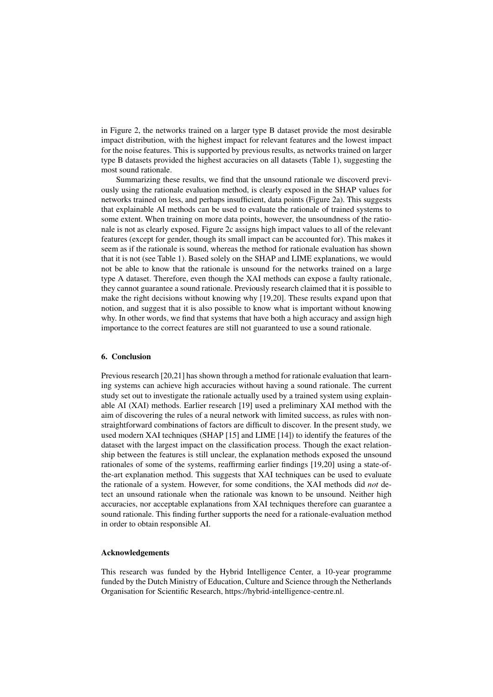in Figure [2,](#page-6-0) the networks trained on a larger type B dataset provide the most desirable impact distribution, with the highest impact for relevant features and the lowest impact for the noise features. This is supported by previous results, as networks trained on larger type B datasets provided the highest accuracies on all datasets (Table [1\)](#page-3-0), suggesting the most sound rationale.

Summarizing these results, we find that the unsound rationale we discoverd previously using the rationale evaluation method, is clearly exposed in the SHAP values for networks trained on less, and perhaps insufficient, data points (Figure [2a\)](#page-6-0). This suggests that explainable AI methods can be used to evaluate the rationale of trained systems to some extent. When training on more data points, however, the unsoundness of the rationale is not as clearly exposed. Figure [2c](#page-6-0) assigns high impact values to all of the relevant features (except for gender, though its small impact can be accounted for). This makes it seem as if the rationale is sound, whereas the method for rationale evaluation has shown that it is not (see Table [1\)](#page-3-0). Based solely on the SHAP and LIME explanations, we would not be able to know that the rationale is unsound for the networks trained on a large type A dataset. Therefore, even though the XAI methods can expose a faulty rationale, they cannot guarantee a sound rationale. Previously research claimed that it is possible to make the right decisions without knowing why [\[19,](#page-9-18)[20\]](#page-9-19). These results expand upon that notion, and suggest that it is also possible to know what is important without knowing why. In other words, we find that systems that have both a high accuracy and assign high importance to the correct features are still not guaranteed to use a sound rationale.

# 6. Conclusion

Previous research [\[20](#page-9-19)[,21\]](#page-9-20) has shown through a method for rationale evaluation that learning systems can achieve high accuracies without having a sound rationale. The current study set out to investigate the rationale actually used by a trained system using explainable AI (XAI) methods. Earlier research [\[19\]](#page-9-18) used a preliminary XAI method with the aim of discovering the rules of a neural network with limited success, as rules with nonstraightforward combinations of factors are difficult to discover. In the present study, we used modern XAI techniques (SHAP [\[15\]](#page-9-14) and LIME [\[14\]](#page-9-13)) to identify the features of the dataset with the largest impact on the classification process. Though the exact relationship between the features is still unclear, the explanation methods exposed the unsound rationales of some of the systems, reaffirming earlier findings [\[19](#page-9-18)[,20\]](#page-9-19) using a state-ofthe-art explanation method. This suggests that XAI techniques can be used to evaluate the rationale of a system. However, for some conditions, the XAI methods did *not* detect an unsound rationale when the rationale was known to be unsound. Neither high accuracies, nor acceptable explanations from XAI techniques therefore can guarantee a sound rationale. This finding further supports the need for a rationale-evaluation method in order to obtain responsible AI.

# Acknowledgements

This research was funded by the Hybrid Intelligence Center, a 10-year programme funded by the Dutch Ministry of Education, Culture and Science through the Netherlands Organisation for Scientific Research, https://hybrid-intelligence-centre.nl.